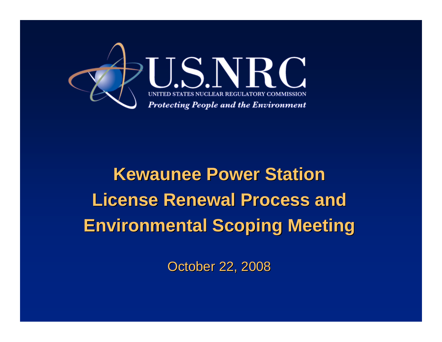

# **Kewaunee Power Station Kewaunee Power Station License Renewal Process and Environmental Scoping Meeting**

**October 22, 2008**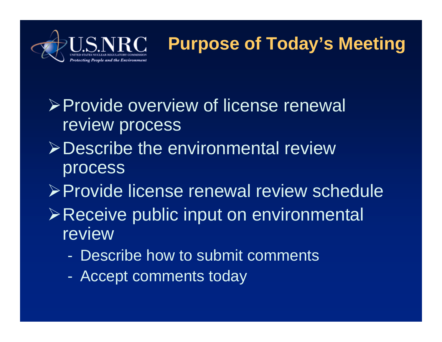

### **Purpose of Today's Meeting**

- ¾Provide overview of license renewal review process
- ¾Describe the environmental review process
- ¾Provide license renewal review schedule
- ¾Receive public input on environmental review
	- Describe how to submit comments
	- Accept comments today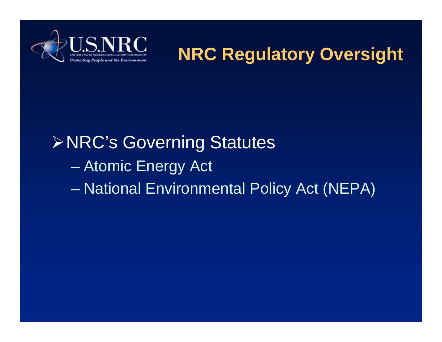

**NRC Regulatory Oversight**

# ¾NRC's Governing Statutes – Atomic Energy Act – National Environmental Policy Act (NEPA)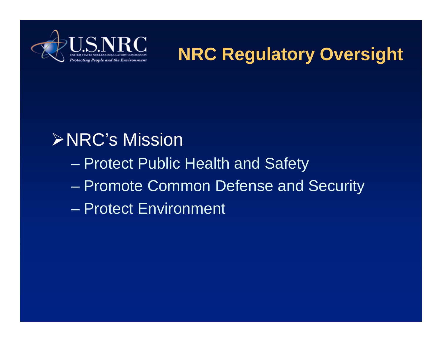

**NRC Regulatory Oversight**

#### ¾NRC's Mission

- Protect Public Health and Safety
- Promote Common Defense and Security
- Protect Environment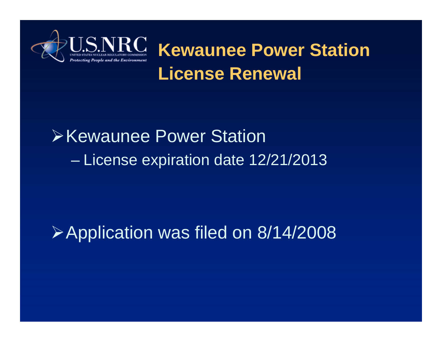

**Kewaunee Power Station License Renewal**

# **Exercise Power Station** – License expiration date 12/21/2013

# ¾Application was filed on 8/14/2008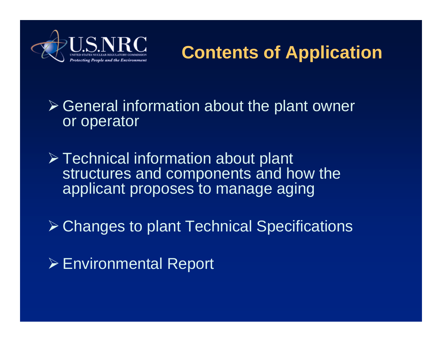

#### **Contents of Application**

#### $\triangleright$  General information about the plant owner or operator

- ¾ Technical information about plant structures and components and how the applicant proposes to manage aging
- ¾ Changes to plant Technical Specifications
- ¾ Environmental Report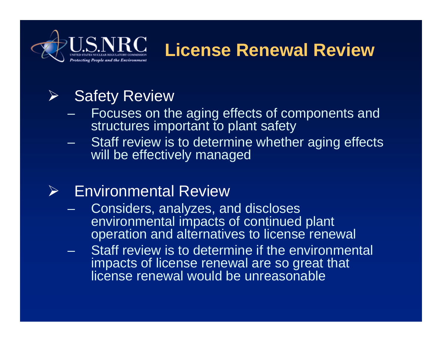

#### **License Renewal Review**

#### ¾Safety Review

- Focuses on the aging effects of components and structures important to plant safety
- Staff review is to determine whether aging effects will be effectively managed

#### $\blacktriangleright$ Environmental Review

- Considers, analyzes, and discloses environmental impacts of continued plant operation and alternatives to license renewal
- Staff review is to determine if the environmental impacts of license renewal are so great that license renewal would be unreasonable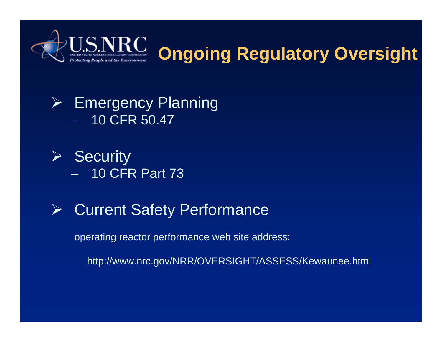

## **Ongoing Regulatory Oversight**

#### ¾ Emergency Planning – 10 CFR 50.47

- $\triangleright$  Security – 10 CFR Part 73
- ¾Current Safety Performance

operating reactor performance web site address:

http://www.nrc.gov/NRR/OVERSIGHT/ASSESS/Kewaunee.html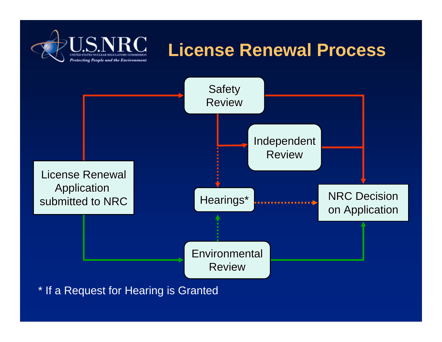

#### **License Renewal Process**



\* If a Request for Hearing is Granted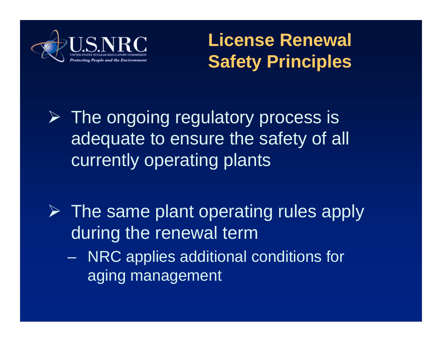

**License Renewal Safety Principles**

 $\triangleright$  The ongoing regulatory process is adequate to ensure the safety of all currently operating plants

- $\triangleright$  The same plant operating rules apply during the renewal term
	- NRC applies additional conditions for aging management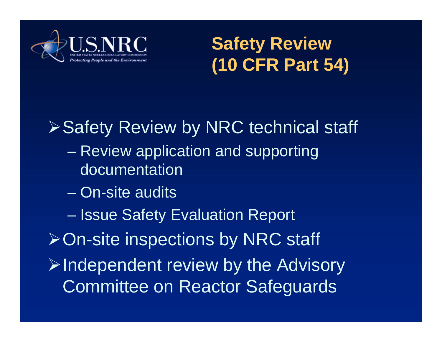

**Safety Review (10 CFR Part 54)**

# ¾Safety Review by NRC technical staff

- Review application and supporting documentation
- On-site audits
- Issue Safety Evaluation Report

¾On-site inspections by NRC staff

 $\triangleright$ Independent review by the Advisory Committee on Reactor Safeguards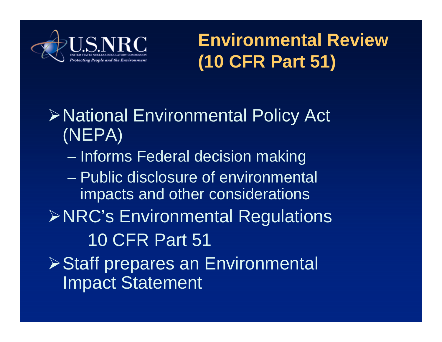

### **Environmental Review (10 CFR Part 51)**

## ¾National Environmental Policy Act (NEPA)

- Informs Federal decision making
- Public disclosure of environmental impacts and other considerations
- ¾NRC's Environmental Regulations 10 CFR Part 51
- **≻Staff prepares an Environmental** Impact Statement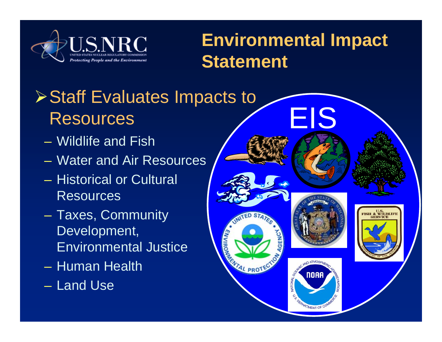

#### **Environmental Impact Statement**

# **≻Staff Evaluates Impacts to** Resources

- Wildlife and Fish
- Water and Air Resources
- Historical or Cultural Resources
- Taxes, Community Development, Environmental Justice
- Human Health
- Land Use

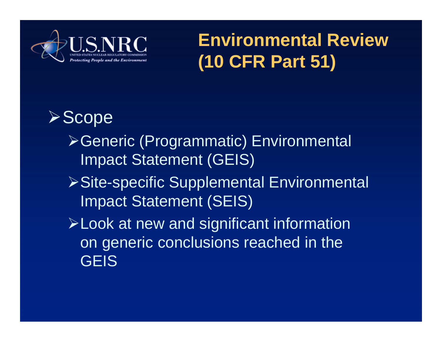

**Environmental Review (10 CFR Part 51)**

#### ¾Scope

- ¾Generic (Programmatic) Environmental Impact Statement (GEIS)
- **≻Site-specific Supplemental Environmental** Impact Statement (SEIS)
- ¾Look at new and significant information on generic conclusions reached in the **GEIS**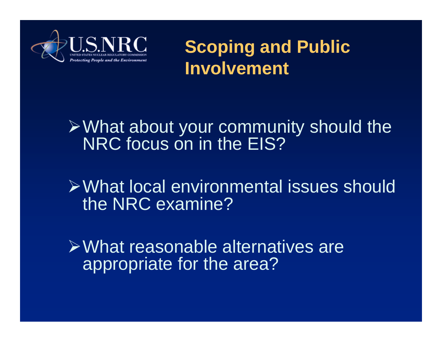

**Scoping and Public Involvement**

#### $\triangleright$  What about your community should the NRC focus on in the EIS?

¾What local environmental issues should the NRC examine?

¾What reasonable alternatives are appropriate for the area?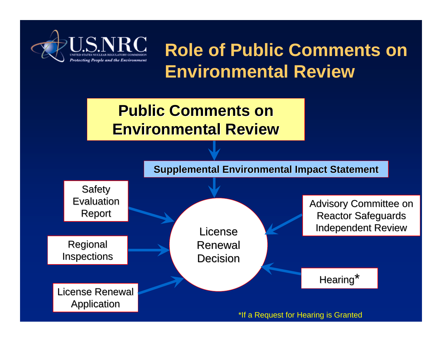

**Role of Public Comments on Environmental Review**

#### **Public Comments on Environmental Review Environmental Review**

**Supplemental Environmental Impact Statement** 

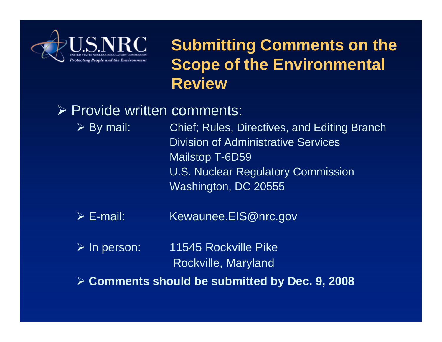

#### **Submitting Comments on the Scope of the Environmental Review**

#### ¾ Provide written comments:

 $\triangleright$  By mail: Chief; Rules, Directives, and Editing Branch Division of Administrative Services Mailstop T-6D59 U.S. Nuclear Regulatory Commission Washington, DC 20555

 $\triangleright$  E-mail: Kewaunee.EIS@nrc.gov

 $\triangleright$  In person: 11545 Rockville Pike Rockville, Maryland

¾ **Comments should be submitted by Dec. 9, 2008**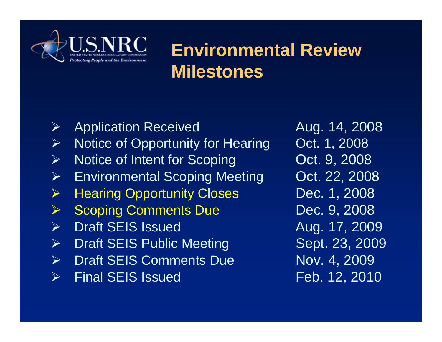

#### **Environmental Review Milestones**

¾Application Received Aug. 14, 2008 ¾Notice of Opportunity for Hearing Oct. 1, 2008 ¾Notice of Intent for Scoping **Oct. 9, 2008** ¾Environmental Scoping Meeting **Oct. 22, 2008** ¾Hearing Opportunity Closes Dec. 1, 2008 ¾Scoping Comments Due **Dec. 9, 2008**  $\blacktriangleright$ Draft SEIS Issued Aug. 17, 2009 ¾Draft SEIS Public Meeting Sept. 23, 2009  $\blacktriangleright$ Draft SEIS Comments Due Nov. 4, 2009 ¾Final SEIS Issued Feb. 12, 2010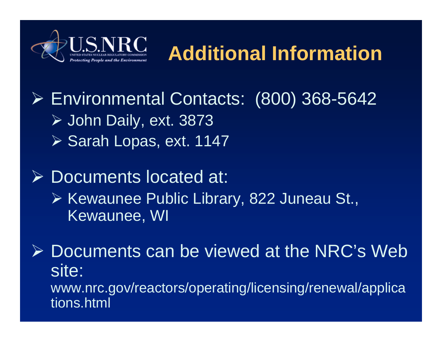

# **Additional Information**

¾ Environmental Contacts: (800) 368-5642 ¾ John Daily, ext. 3873 ¾ Sarah Lopas, ext. 1147

¾ Documents located at: ¾ Kewaunee Public Library, 822 Juneau St.,

Kewaunee, WI

¾ Documents can be viewed at the NRC's Web site: www.nrc.gov/reactors/operating/licensing/renewal/applica tions.html